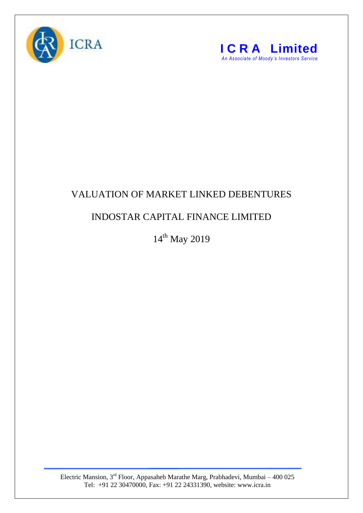



## VALUATION OF MARKET LINKED DEBENTURES

## INDOSTAR CAPITAL FINANCE LIMITED

14<sup>th</sup> May 2019

Electric Mansion,  $3<sup>rd</sup>$  Floor, Appasaheb Marathe Marg, Prabhadevi, Mumbai – 400 025 Tel: +91 22 30470000, Fax: +91 22 24331390, website: www.icra.in